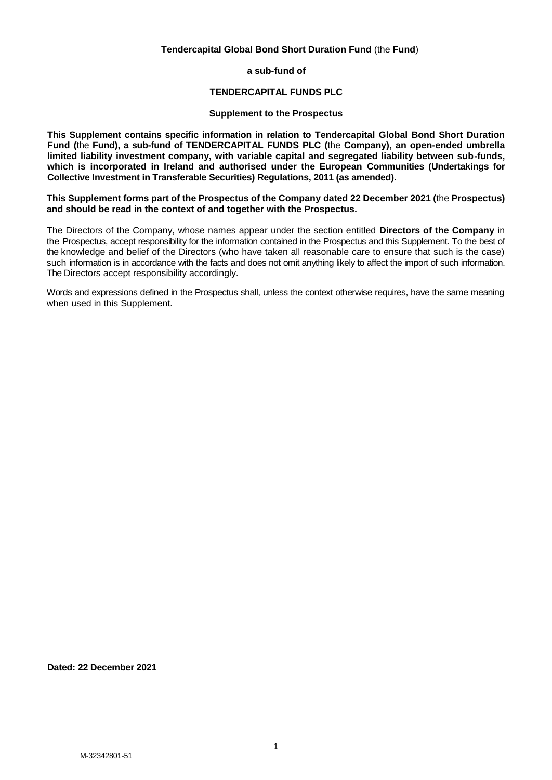### **Tendercapital Global Bond Short Duration Fund** (the **Fund**)

### **a sub-fund of**

### **TENDERCAPITAL FUNDS PLC**

#### **Supplement to the Prospectus**

**This Supplement contains specific information in relation to Tendercapital Global Bond Short Duration Fund (**the **Fund), a sub-fund of TENDERCAPITAL FUNDS PLC (**the **Company), an open-ended umbrella limited liability investment company, with variable capital and segregated liability between sub-funds, which is incorporated in Ireland and authorised under the European Communities (Undertakings for Collective Investment in Transferable Securities) Regulations, 2011 (as amended).**

### **This Supplement forms part of the Prospectus of the Company dated 22 December 2021 (**the **Prospectus) and should be read in the context of and together with the Prospectus.**

The Directors of the Company, whose names appear under the section entitled **Directors of the Company** in the Prospectus, accept responsibility for the information contained in the Prospectus and this Supplement. To the best of the knowledge and belief of the Directors (who have taken all reasonable care to ensure that such is the case) such information is in accordance with the facts and does not omit anything likely to affect the import of such information. The Directors accept responsibility accordingly.

Words and expressions defined in the Prospectus shall, unless the context otherwise requires, have the same meaning when used in this Supplement.

**Dated: 22 December 2021**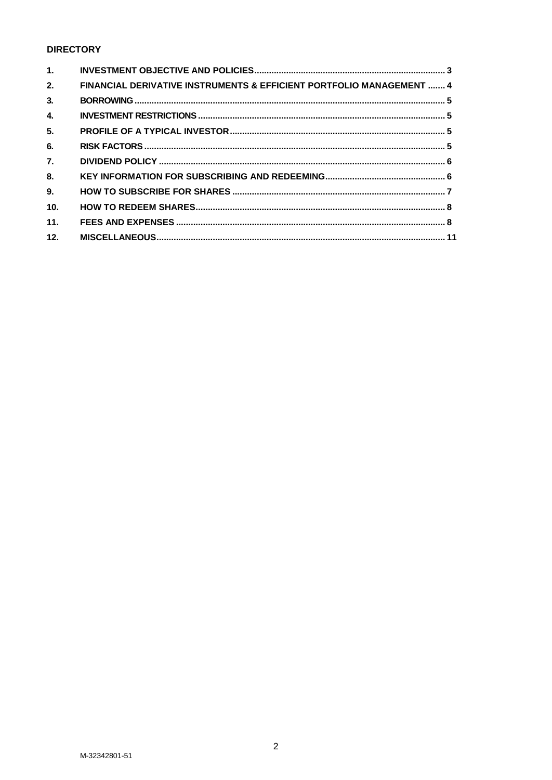# **DIRECTORY**

| 1.               |                                                                      |  |
|------------------|----------------------------------------------------------------------|--|
| 2.               | FINANCIAL DERIVATIVE INSTRUMENTS & EFFICIENT PORTFOLIO MANAGEMENT  4 |  |
| 3.               |                                                                      |  |
| 4.               |                                                                      |  |
| 5.               |                                                                      |  |
| 6.               |                                                                      |  |
| $\overline{7}$ . |                                                                      |  |
| 8.               |                                                                      |  |
| 9.               |                                                                      |  |
| 10.              |                                                                      |  |
| 11.              |                                                                      |  |
| 12.              |                                                                      |  |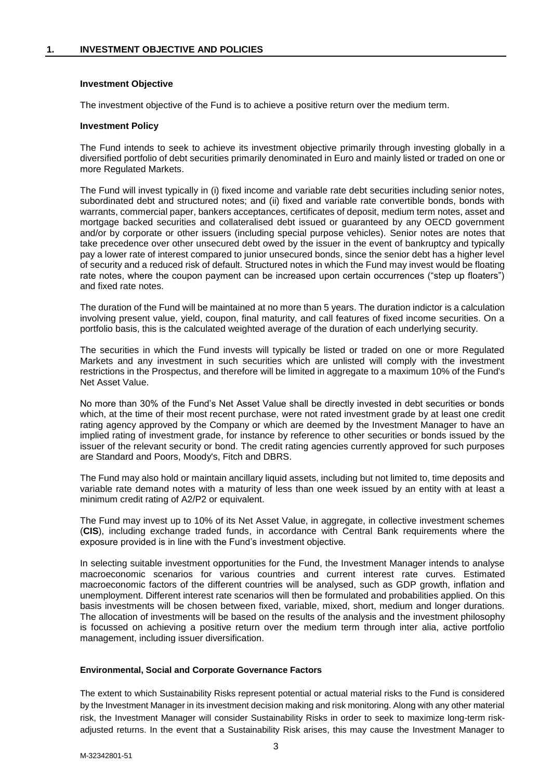### <span id="page-2-0"></span>**Investment Objective**

The investment objective of the Fund is to achieve a positive return over the medium term.

#### **Investment Policy**

The Fund intends to seek to achieve its investment objective primarily through investing globally in a diversified portfolio of debt securities primarily denominated in Euro and mainly listed or traded on one or more Regulated Markets.

The Fund will invest typically in (i) fixed income and variable rate debt securities including senior notes, subordinated debt and structured notes; and (ii) fixed and variable rate convertible bonds, bonds with warrants, commercial paper, bankers acceptances, certificates of deposit, medium term notes, asset and mortgage backed securities and collateralised debt issued or guaranteed by any OECD government and/or by corporate or other issuers (including special purpose vehicles). Senior notes are notes that take precedence over other unsecured debt owed by the issuer in the event of bankruptcy and typically pay a lower rate of interest compared to junior unsecured bonds, since the senior debt has a higher level of security and a reduced risk of default. Structured notes in which the Fund may invest would be floating rate notes, where the coupon payment can be increased upon certain occurrences ("step up floaters") and fixed rate notes.

The duration of the Fund will be maintained at no more than 5 years. The duration indictor is a calculation involving present value, yield, coupon, final maturity, and call features of fixed income securities. On a portfolio basis, this is the calculated weighted average of the duration of each underlying security.

The securities in which the Fund invests will typically be listed or traded on one or more Regulated Markets and any investment in such securities which are unlisted will comply with the investment restrictions in the Prospectus, and therefore will be limited in aggregate to a maximum 10% of the Fund's Net Asset Value.

No more than 30% of the Fund's Net Asset Value shall be directly invested in debt securities or bonds which, at the time of their most recent purchase, were not rated investment grade by at least one credit rating agency approved by the Company or which are deemed by the Investment Manager to have an implied rating of investment grade, for instance by reference to other securities or bonds issued by the issuer of the relevant security or bond. The credit rating agencies currently approved for such purposes are Standard and Poors, Moody's, Fitch and DBRS.

The Fund may also hold or maintain ancillary liquid assets, including but not limited to, time deposits and variable rate demand notes with a maturity of less than one week issued by an entity with at least a minimum credit rating of A2/P2 or equivalent.

The Fund may invest up to 10% of its Net Asset Value, in aggregate, in collective investment schemes (**CIS**), including exchange traded funds, in accordance with Central Bank requirements where the exposure provided is in line with the Fund's investment objective.

In selecting suitable investment opportunities for the Fund, the Investment Manager intends to analyse macroeconomic scenarios for various countries and current interest rate curves. Estimated macroeconomic factors of the different countries will be analysed, such as GDP growth, inflation and unemployment. Different interest rate scenarios will then be formulated and probabilities applied. On this basis investments will be chosen between fixed, variable, mixed, short, medium and longer durations. The allocation of investments will be based on the results of the analysis and the investment philosophy is focussed on achieving a positive return over the medium term through inter alia, active portfolio management, including issuer diversification.

#### **Environmental, Social and Corporate Governance Factors**

The extent to which Sustainability Risks represent potential or actual material risks to the Fund is considered by the Investment Manager in its investment decision making and risk monitoring. Along with any other material risk, the Investment Manager will consider Sustainability Risks in order to seek to maximize long-term riskadjusted returns. In the event that a Sustainability Risk arises, this may cause the Investment Manager to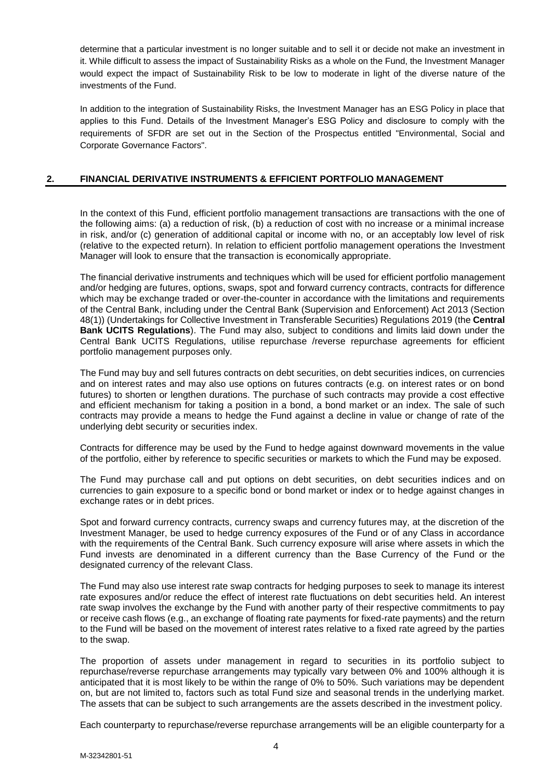determine that a particular investment is no longer suitable and to sell it or decide not make an investment in it. While difficult to assess the impact of Sustainability Risks as a whole on the Fund, the Investment Manager would expect the impact of Sustainability Risk to be low to moderate in light of the diverse nature of the investments of the Fund.

In addition to the integration of Sustainability Risks, the Investment Manager has an ESG Policy in place that applies to this Fund. Details of the Investment Manager's ESG Policy and disclosure to comply with the requirements of SFDR are set out in the Section of the Prospectus entitled "Environmental, Social and Corporate Governance Factors".

### <span id="page-3-0"></span>**2. FINANCIAL DERIVATIVE INSTRUMENTS & EFFICIENT PORTFOLIO MANAGEMENT**

In the context of this Fund, efficient portfolio management transactions are transactions with the one of the following aims: (a) a reduction of risk, (b) a reduction of cost with no increase or a minimal increase in risk, and/or (c) generation of additional capital or income with no, or an acceptably low level of risk (relative to the expected return). In relation to efficient portfolio management operations the Investment Manager will look to ensure that the transaction is economically appropriate.

The financial derivative instruments and techniques which will be used for efficient portfolio management and/or hedging are futures, options, swaps, spot and forward currency contracts, contracts for difference which may be exchange traded or over-the-counter in accordance with the limitations and requirements of the Central Bank, including under the Central Bank (Supervision and Enforcement) Act 2013 (Section 48(1)) (Undertakings for Collective Investment in Transferable Securities) Regulations 2019 (the **Central Bank UCITS Regulations**). The Fund may also, subject to conditions and limits laid down under the Central Bank UCITS Regulations, utilise repurchase /reverse repurchase agreements for efficient portfolio management purposes only.

The Fund may buy and sell futures contracts on debt securities, on debt securities indices, on currencies and on interest rates and may also use options on futures contracts (e.g. on interest rates or on bond futures) to shorten or lengthen durations. The purchase of such contracts may provide a cost effective and efficient mechanism for taking a position in a bond, a bond market or an index. The sale of such contracts may provide a means to hedge the Fund against a decline in value or change of rate of the underlying debt security or securities index.

Contracts for difference may be used by the Fund to hedge against downward movements in the value of the portfolio, either by reference to specific securities or markets to which the Fund may be exposed.

The Fund may purchase call and put options on debt securities, on debt securities indices and on currencies to gain exposure to a specific bond or bond market or index or to hedge against changes in exchange rates or in debt prices.

Spot and forward currency contracts, currency swaps and currency futures may, at the discretion of the Investment Manager, be used to hedge currency exposures of the Fund or of any Class in accordance with the requirements of the Central Bank. Such currency exposure will arise where assets in which the Fund invests are denominated in a different currency than the Base Currency of the Fund or the designated currency of the relevant Class.

The Fund may also use interest rate swap contracts for hedging purposes to seek to manage its interest rate exposures and/or reduce the effect of interest rate fluctuations on debt securities held. An interest rate swap involves the exchange by the Fund with another party of their respective commitments to pay or receive cash flows (e.g., an exchange of floating rate payments for fixed-rate payments) and the return to the Fund will be based on the movement of interest rates relative to a fixed rate agreed by the parties to the swap.

The proportion of assets under management in regard to securities in its portfolio subject to repurchase/reverse repurchase arrangements may typically vary between 0% and 100% although it is anticipated that it is most likely to be within the range of 0% to 50%. Such variations may be dependent on, but are not limited to, factors such as total Fund size and seasonal trends in the underlying market. The assets that can be subject to such arrangements are the assets described in the investment policy.

Each counterparty to repurchase/reverse repurchase arrangements will be an eligible counterparty for a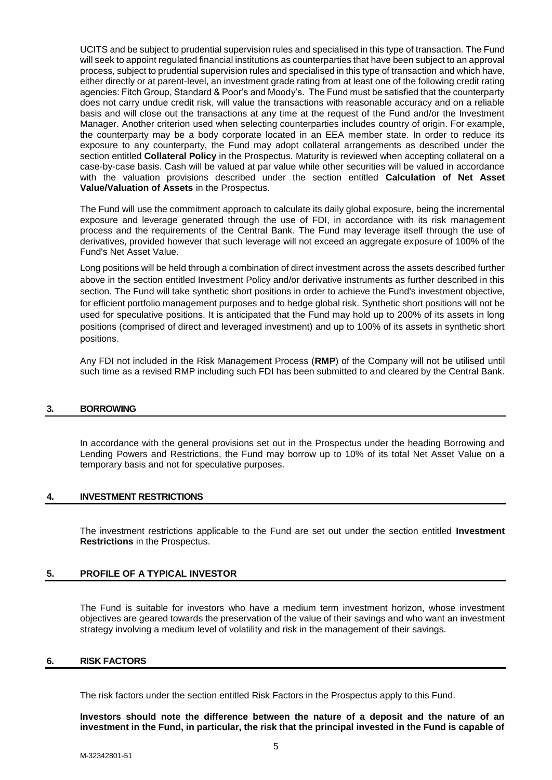UCITS and be subject to prudential supervision rules and specialised in this type of transaction. The Fund will seek to appoint regulated financial institutions as counterparties that have been subject to an approval process, subject to prudential supervision rules and specialised in this type of transaction and which have, either directly or at parent-level, an investment grade rating from at least one of the following credit rating agencies: Fitch Group, Standard & Poor's and Moody's. The Fund must be satisfied that the counterparty does not carry undue credit risk, will value the transactions with reasonable accuracy and on a reliable basis and will close out the transactions at any time at the request of the Fund and/or the Investment Manager. Another criterion used when selecting counterparties includes country of origin. For example, the counterparty may be a body corporate located in an EEA member state. In order to reduce its exposure to any counterparty, the Fund may adopt collateral arrangements as described under the section entitled **Collateral Policy** in the Prospectus. Maturity is reviewed when accepting collateral on a case-by-case basis. Cash will be valued at par value while other securities will be valued in accordance with the valuation provisions described under the section entitled **Calculation of Net Asset Value/Valuation of Assets** in the Prospectus.

The Fund will use the commitment approach to calculate its daily global exposure, being the incremental exposure and leverage generated through the use of FDI, in accordance with its risk management process and the requirements of the Central Bank. The Fund may leverage itself through the use of derivatives, provided however that such leverage will not exceed an aggregate exposure of 100% of the Fund's Net Asset Value.

Long positions will be held through a combination of direct investment across the assets described further above in the section entitled Investment Policy and/or derivative instruments as further described in this section. The Fund will take synthetic short positions in order to achieve the Fund's investment objective, for efficient portfolio management purposes and to hedge global risk. Synthetic short positions will not be used for speculative positions. It is anticipated that the Fund may hold up to 200% of its assets in long positions (comprised of direct and leveraged investment) and up to 100% of its assets in synthetic short positions.

Any FDI not included in the Risk Management Process (**RMP**) of the Company will not be utilised until such time as a revised RMP including such FDI has been submitted to and cleared by the Central Bank.

#### <span id="page-4-0"></span>**3. BORROWING**

In accordance with the general provisions set out in the Prospectus under the heading Borrowing and Lending Powers and Restrictions, the Fund may borrow up to 10% of its total Net Asset Value on a temporary basis and not for speculative purposes.

#### <span id="page-4-1"></span>**4. INVESTMENT RESTRICTIONS**

The investment restrictions applicable to the Fund are set out under the section entitled **Investment Restrictions** in the Prospectus.

## <span id="page-4-2"></span>**5. PROFILE OF A TYPICAL INVESTOR**

The Fund is suitable for investors who have a medium term investment horizon, whose investment objectives are geared towards the preservation of the value of their savings and who want an investment strategy involving a medium level of volatility and risk in the management of their savings.

#### <span id="page-4-3"></span>**6. RISK FACTORS**

The risk factors under the section entitled Risk Factors in the Prospectus apply to this Fund.

**Investors should note the difference between the nature of a deposit and the nature of an investment in the Fund, in particular, the risk that the principal invested in the Fund is capable of**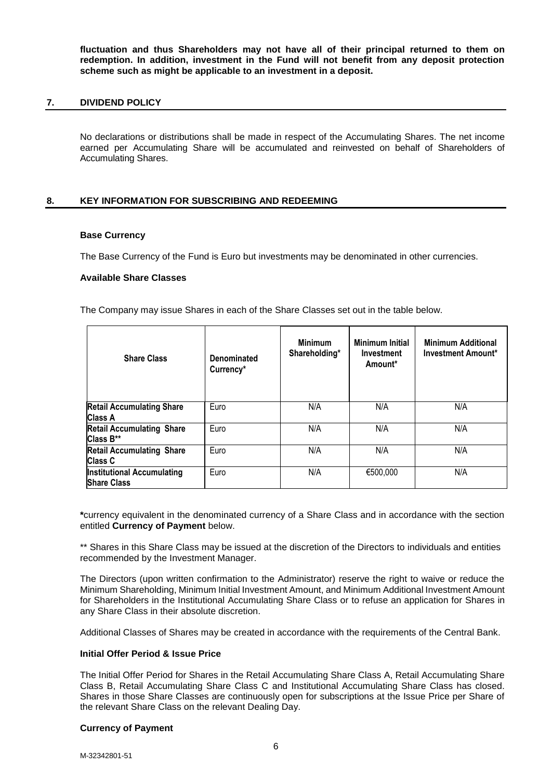**fluctuation and thus Shareholders may not have all of their principal returned to them on redemption. In addition, investment in the Fund will not benefit from any deposit protection scheme such as might be applicable to an investment in a deposit.**

### <span id="page-5-0"></span>**7. DIVIDEND POLICY**

No declarations or distributions shall be made in respect of the Accumulating Shares. The net income earned per Accumulating Share will be accumulated and reinvested on behalf of Shareholders of Accumulating Shares.

### <span id="page-5-1"></span>**8. KEY INFORMATION FOR SUBSCRIBING AND REDEEMING**

#### **Base Currency**

The Base Currency of the Fund is Euro but investments may be denominated in other currencies.

#### **Available Share Classes**

The Company may issue Shares in each of the Share Classes set out in the table below.

| <b>Share Class</b>                                      | Denominated<br>Currency* | <b>Minimum</b><br>Shareholding* | Minimum Initial<br><b>Investment</b><br>Amount* | <b>Minimum Additional</b><br><b>Investment Amount*</b> |
|---------------------------------------------------------|--------------------------|---------------------------------|-------------------------------------------------|--------------------------------------------------------|
| <b>Retail Accumulating Share</b><br>Class A             | Euro                     | N/A                             | N/A                                             | N/A                                                    |
| <b>Retail Accumulating Share</b><br>Class B**           | Euro                     | N/A                             | N/A                                             | N/A                                                    |
| <b>Retail Accumulating Share</b><br>Class C             | Euro                     | N/A                             | N/A                                             | N/A                                                    |
| <b>Institutional Accumulating</b><br><b>Share Class</b> | Euro                     | N/A                             | €500,000                                        | N/A                                                    |

**\***currency equivalent in the denominated currency of a Share Class and in accordance with the section entitled **Currency of Payment** below.

\*\* Shares in this Share Class may be issued at the discretion of the Directors to individuals and entities recommended by the Investment Manager.

The Directors (upon written confirmation to the Administrator) reserve the right to waive or reduce the Minimum Shareholding, Minimum Initial Investment Amount, and Minimum Additional Investment Amount for Shareholders in the Institutional Accumulating Share Class or to refuse an application for Shares in any Share Class in their absolute discretion.

Additional Classes of Shares may be created in accordance with the requirements of the Central Bank.

### **Initial Offer Period & Issue Price**

The Initial Offer Period for Shares in the Retail Accumulating Share Class A, Retail Accumulating Share Class B, Retail Accumulating Share Class C and Institutional Accumulating Share Class has closed. Shares in those Share Classes are continuously open for subscriptions at the Issue Price per Share of the relevant Share Class on the relevant Dealing Day.

#### **Currency of Payment**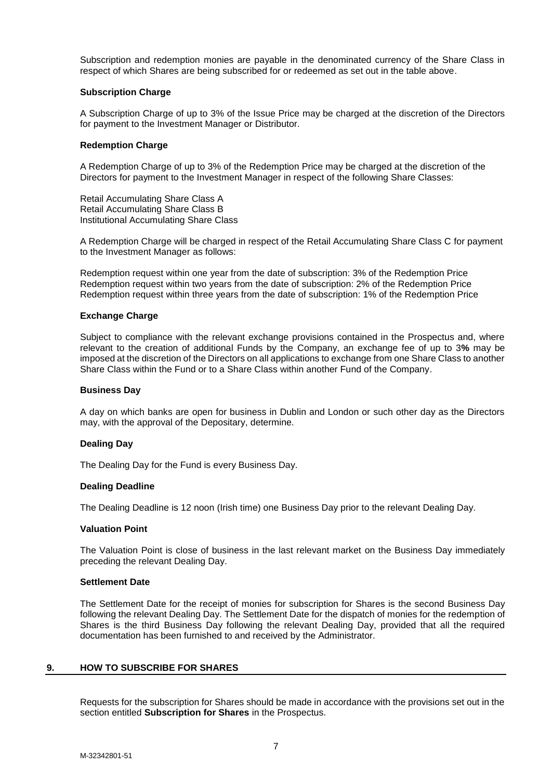Subscription and redemption monies are payable in the denominated currency of the Share Class in respect of which Shares are being subscribed for or redeemed as set out in the table above.

#### **Subscription Charge**

A Subscription Charge of up to 3% of the Issue Price may be charged at the discretion of the Directors for payment to the Investment Manager or Distributor.

### **Redemption Charge**

A Redemption Charge of up to 3% of the Redemption Price may be charged at the discretion of the Directors for payment to the Investment Manager in respect of the following Share Classes:

Retail Accumulating Share Class A Retail Accumulating Share Class B Institutional Accumulating Share Class

A Redemption Charge will be charged in respect of the Retail Accumulating Share Class C for payment to the Investment Manager as follows:

Redemption request within one year from the date of subscription: 3% of the Redemption Price Redemption request within two years from the date of subscription: 2% of the Redemption Price Redemption request within three years from the date of subscription: 1% of the Redemption Price

### **Exchange Charge**

Subject to compliance with the relevant exchange provisions contained in the Prospectus and, where relevant to the creation of additional Funds by the Company, an exchange fee of up to 3**%** may be imposed at the discretion of the Directors on all applications to exchange from one Share Class to another Share Class within the Fund or to a Share Class within another Fund of the Company.

#### **Business Day**

A day on which banks are open for business in Dublin and London or such other day as the Directors may, with the approval of the Depositary, determine.

#### **Dealing Day**

The Dealing Day for the Fund is every Business Day.

#### **Dealing Deadline**

The Dealing Deadline is 12 noon (Irish time) one Business Day prior to the relevant Dealing Day.

#### **Valuation Point**

The Valuation Point is close of business in the last relevant market on the Business Day immediately preceding the relevant Dealing Day.

#### **Settlement Date**

The Settlement Date for the receipt of monies for subscription for Shares is the second Business Day following the relevant Dealing Day. The Settlement Date for the dispatch of monies for the redemption of Shares is the third Business Day following the relevant Dealing Day, provided that all the required documentation has been furnished to and received by the Administrator.

## <span id="page-6-0"></span>**9. HOW TO SUBSCRIBE FOR SHARES**

Requests for the subscription for Shares should be made in accordance with the provisions set out in the section entitled **Subscription for Shares** in the Prospectus.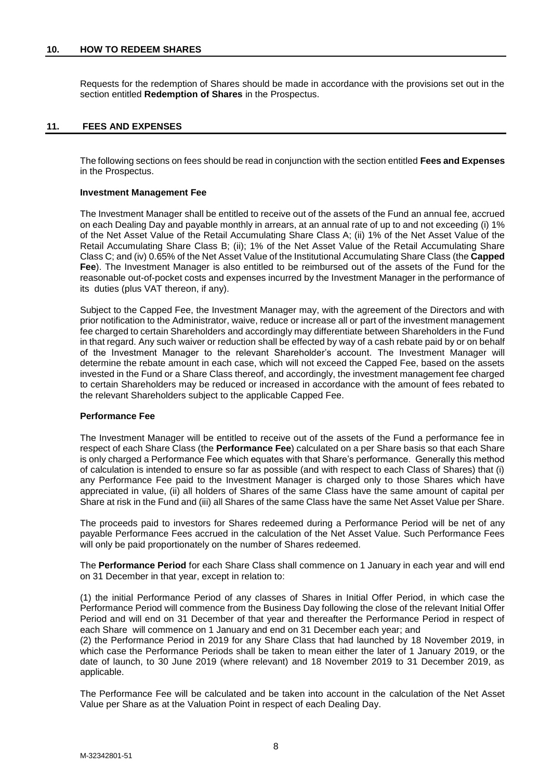### <span id="page-7-0"></span>**10. HOW TO REDEEM SHARES**

Requests for the redemption of Shares should be made in accordance with the provisions set out in the section entitled **Redemption of Shares** in the Prospectus.

### <span id="page-7-1"></span>**11. FEES AND EXPENSES**

The following sections on fees should be read in conjunction with the section entitled **Fees and Expenses** in the Prospectus.

#### **Investment Management Fee**

The Investment Manager shall be entitled to receive out of the assets of the Fund an annual fee, accrued on each Dealing Day and payable monthly in arrears, at an annual rate of up to and not exceeding (i) 1% of the Net Asset Value of the Retail Accumulating Share Class A; (ii) 1% of the Net Asset Value of the Retail Accumulating Share Class B; (ii); 1% of the Net Asset Value of the Retail Accumulating Share Class C; and (iv) 0.65% of the Net Asset Value of the Institutional Accumulating Share Class (the **Capped Fee**). The Investment Manager is also entitled to be reimbursed out of the assets of the Fund for the reasonable out-of-pocket costs and expenses incurred by the Investment Manager in the performance of its duties (plus VAT thereon, if any).

Subject to the Capped Fee, the Investment Manager may, with the agreement of the Directors and with prior notification to the Administrator, waive, reduce or increase all or part of the investment management fee charged to certain Shareholders and accordingly may differentiate between Shareholders in the Fund in that regard. Any such waiver or reduction shall be effected by way of a cash rebate paid by or on behalf of the Investment Manager to the relevant Shareholder's account. The Investment Manager will determine the rebate amount in each case, which will not exceed the Capped Fee, based on the assets invested in the Fund or a Share Class thereof, and accordingly, the investment management fee charged to certain Shareholders may be reduced or increased in accordance with the amount of fees rebated to the relevant Shareholders subject to the applicable Capped Fee.

#### **Performance Fee**

The Investment Manager will be entitled to receive out of the assets of the Fund a performance fee in respect of each Share Class (the **Performance Fee**) calculated on a per Share basis so that each Share is only charged a Performance Fee which equates with that Share's performance. Generally this method of calculation is intended to ensure so far as possible (and with respect to each Class of Shares) that (i) any Performance Fee paid to the Investment Manager is charged only to those Shares which have appreciated in value, (ii) all holders of Shares of the same Class have the same amount of capital per Share at risk in the Fund and (iii) all Shares of the same Class have the same Net Asset Value per Share.

The proceeds paid to investors for Shares redeemed during a Performance Period will be net of any payable Performance Fees accrued in the calculation of the Net Asset Value. Such Performance Fees will only be paid proportionately on the number of Shares redeemed.

The **Performance Period** for each Share Class shall commence on 1 January in each year and will end on 31 December in that year, except in relation to:

(1) the initial Performance Period of any classes of Shares in Initial Offer Period, in which case the Performance Period will commence from the Business Day following the close of the relevant Initial Offer Period and will end on 31 December of that year and thereafter the Performance Period in respect of each Share will commence on 1 January and end on 31 December each year; and

(2) the Performance Period in 2019 for any Share Class that had launched by 18 November 2019, in which case the Performance Periods shall be taken to mean either the later of 1 January 2019, or the date of launch, to 30 June 2019 (where relevant) and 18 November 2019 to 31 December 2019, as applicable.

The Performance Fee will be calculated and be taken into account in the calculation of the Net Asset Value per Share as at the Valuation Point in respect of each Dealing Day.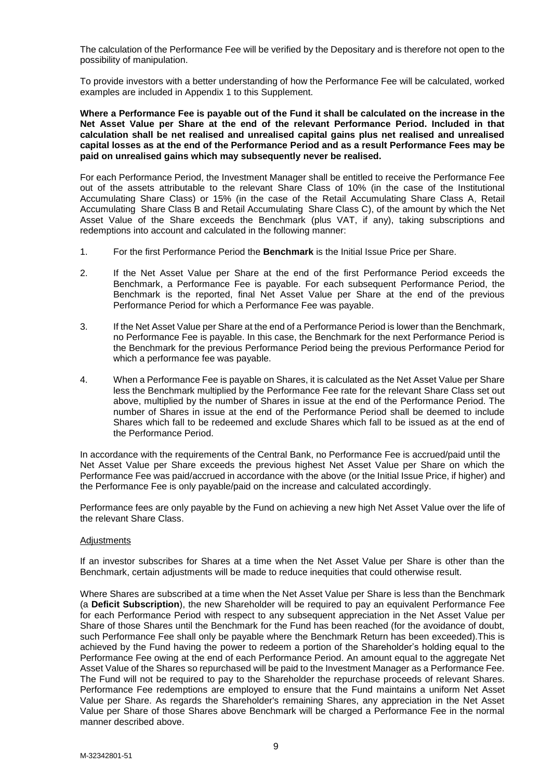The calculation of the Performance Fee will be verified by the Depositary and is therefore not open to the possibility of manipulation.

To provide investors with a better understanding of how the Performance Fee will be calculated, worked examples are included in Appendix 1 to this Supplement.

**Where a Performance Fee is payable out of the Fund it shall be calculated on the increase in the Net Asset Value per Share at the end of the relevant Performance Period. Included in that calculation shall be net realised and unrealised capital gains plus net realised and unrealised capital losses as at the end of the Performance Period and as a result Performance Fees may be paid on unrealised gains which may subsequently never be realised.**

For each Performance Period, the Investment Manager shall be entitled to receive the Performance Fee out of the assets attributable to the relevant Share Class of 10% (in the case of the Institutional Accumulating Share Class) or 15% (in the case of the Retail Accumulating Share Class A, Retail Accumulating Share Class B and Retail Accumulating Share Class C), of the amount by which the Net Asset Value of the Share exceeds the Benchmark (plus VAT, if any), taking subscriptions and redemptions into account and calculated in the following manner:

- 1. For the first Performance Period the **Benchmark** is the Initial Issue Price per Share.
- 2. If the Net Asset Value per Share at the end of the first Performance Period exceeds the Benchmark, a Performance Fee is payable. For each subsequent Performance Period, the Benchmark is the reported, final Net Asset Value per Share at the end of the previous Performance Period for which a Performance Fee was payable.
- 3. If the Net Asset Value per Share at the end of a Performance Period is lower than the Benchmark, no Performance Fee is payable. In this case, the Benchmark for the next Performance Period is the Benchmark for the previous Performance Period being the previous Performance Period for which a performance fee was payable.
- 4. When a Performance Fee is payable on Shares, it is calculated as the Net Asset Value per Share less the Benchmark multiplied by the Performance Fee rate for the relevant Share Class set out above, multiplied by the number of Shares in issue at the end of the Performance Period. The number of Shares in issue at the end of the Performance Period shall be deemed to include Shares which fall to be redeemed and exclude Shares which fall to be issued as at the end of the Performance Period.

In accordance with the requirements of the Central Bank, no Performance Fee is accrued/paid until the Net Asset Value per Share exceeds the previous highest Net Asset Value per Share on which the Performance Fee was paid/accrued in accordance with the above (or the Initial Issue Price, if higher) and the Performance Fee is only payable/paid on the increase and calculated accordingly.

Performance fees are only payable by the Fund on achieving a new high Net Asset Value over the life of the relevant Share Class.

#### Adjustments

If an investor subscribes for Shares at a time when the Net Asset Value per Share is other than the Benchmark, certain adjustments will be made to reduce inequities that could otherwise result.

Where Shares are subscribed at a time when the Net Asset Value per Share is less than the Benchmark (a **Deficit Subscription**), the new Shareholder will be required to pay an equivalent Performance Fee for each Performance Period with respect to any subsequent appreciation in the Net Asset Value per Share of those Shares until the Benchmark for the Fund has been reached (for the avoidance of doubt, such Performance Fee shall only be payable where the Benchmark Return has been exceeded).This is achieved by the Fund having the power to redeem a portion of the Shareholder's holding equal to the Performance Fee owing at the end of each Performance Period. An amount equal to the aggregate Net Asset Value of the Shares so repurchased will be paid to the Investment Manager as a Performance Fee. The Fund will not be required to pay to the Shareholder the repurchase proceeds of relevant Shares. Performance Fee redemptions are employed to ensure that the Fund maintains a uniform Net Asset Value per Share. As regards the Shareholder's remaining Shares, any appreciation in the Net Asset Value per Share of those Shares above Benchmark will be charged a Performance Fee in the normal manner described above.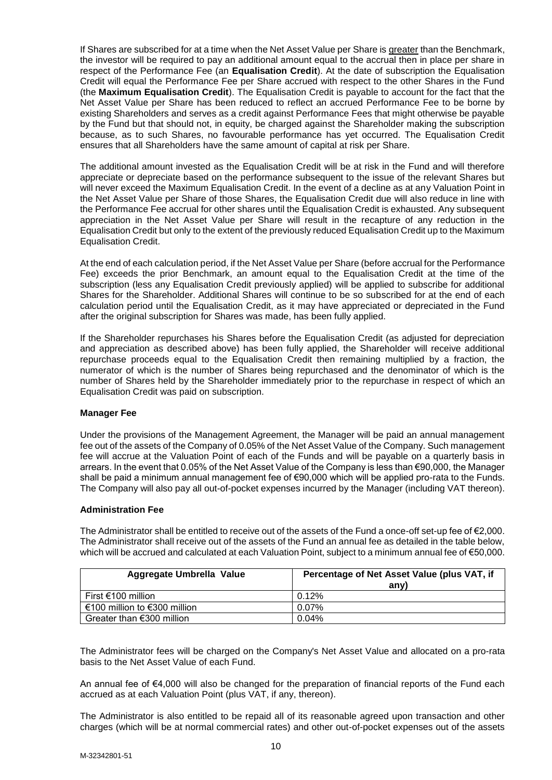If Shares are subscribed for at a time when the Net Asset Value per Share is greater than the Benchmark, the investor will be required to pay an additional amount equal to the accrual then in place per share in respect of the Performance Fee (an **Equalisation Credit**). At the date of subscription the Equalisation Credit will equal the Performance Fee per Share accrued with respect to the other Shares in the Fund (the **Maximum Equalisation Credit**). The Equalisation Credit is payable to account for the fact that the Net Asset Value per Share has been reduced to reflect an accrued Performance Fee to be borne by existing Shareholders and serves as a credit against Performance Fees that might otherwise be payable by the Fund but that should not, in equity, be charged against the Shareholder making the subscription because, as to such Shares, no favourable performance has yet occurred. The Equalisation Credit ensures that all Shareholders have the same amount of capital at risk per Share.

The additional amount invested as the Equalisation Credit will be at risk in the Fund and will therefore appreciate or depreciate based on the performance subsequent to the issue of the relevant Shares but will never exceed the Maximum Equalisation Credit. In the event of a decline as at any Valuation Point in the Net Asset Value per Share of those Shares, the Equalisation Credit due will also reduce in line with the Performance Fee accrual for other shares until the Equalisation Credit is exhausted. Any subsequent appreciation in the Net Asset Value per Share will result in the recapture of any reduction in the Equalisation Credit but only to the extent of the previously reduced Equalisation Credit up to the Maximum Equalisation Credit.

At the end of each calculation period, if the Net Asset Value per Share (before accrual for the Performance Fee) exceeds the prior Benchmark, an amount equal to the Equalisation Credit at the time of the subscription (less any Equalisation Credit previously applied) will be applied to subscribe for additional Shares for the Shareholder. Additional Shares will continue to be so subscribed for at the end of each calculation period until the Equalisation Credit, as it may have appreciated or depreciated in the Fund after the original subscription for Shares was made, has been fully applied.

If the Shareholder repurchases his Shares before the Equalisation Credit (as adjusted for depreciation and appreciation as described above) has been fully applied, the Shareholder will receive additional repurchase proceeds equal to the Equalisation Credit then remaining multiplied by a fraction, the numerator of which is the number of Shares being repurchased and the denominator of which is the number of Shares held by the Shareholder immediately prior to the repurchase in respect of which an Equalisation Credit was paid on subscription.

## **Manager Fee**

Under the provisions of the Management Agreement, the Manager will be paid an annual management fee out of the assets of the Company of 0.05% of the Net Asset Value of the Company. Such management fee will accrue at the Valuation Point of each of the Funds and will be payable on a quarterly basis in arrears. In the event that 0.05% of the Net Asset Value of the Company is less than €90,000, the Manager shall be paid a minimum annual management fee of €90,000 which will be applied pro-rata to the Funds. The Company will also pay all out-of-pocket expenses incurred by the Manager (including VAT thereon).

## **Administration Fee**

The Administrator shall be entitled to receive out of the assets of the Fund a once-off set-up fee of €2,000. The Administrator shall receive out of the assets of the Fund an annual fee as detailed in the table below, which will be accrued and calculated at each Valuation Point, subject to a minimum annual fee of €50,000.

| <b>Aggregate Umbrella Value</b> | Percentage of Net Asset Value (plus VAT, if<br>any) |  |  |
|---------------------------------|-----------------------------------------------------|--|--|
| First €100 million              | 0.12%                                               |  |  |
| €100 million to €300 million    | $0.07\%$                                            |  |  |
| Greater than $€300$ million     | 0.04%                                               |  |  |

The Administrator fees will be charged on the Company's Net Asset Value and allocated on a pro-rata basis to the Net Asset Value of each Fund.

An annual fee of €4,000 will also be changed for the preparation of financial reports of the Fund each accrued as at each Valuation Point (plus VAT, if any, thereon).

The Administrator is also entitled to be repaid all of its reasonable agreed upon transaction and other charges (which will be at normal commercial rates) and other out-of-pocket expenses out of the assets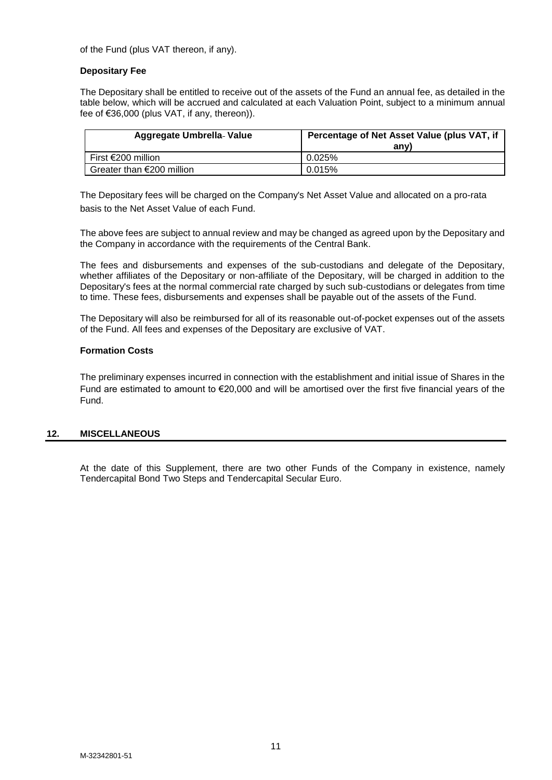of the Fund (plus VAT thereon, if any).

### **Depositary Fee**

The Depositary shall be entitled to receive out of the assets of the Fund an annual fee, as detailed in the table below, which will be accrued and calculated at each Valuation Point, subject to a minimum annual fee of €36,000 (plus VAT, if any, thereon)).

| Aggregate Umbrella-Value     | Percentage of Net Asset Value (plus VAT, if<br>anv) |  |  |  |
|------------------------------|-----------------------------------------------------|--|--|--|
| First €200 million           | 0.025%                                              |  |  |  |
| Greater than $E$ 200 million | 0.015%                                              |  |  |  |

The Depositary fees will be charged on the Company's Net Asset Value and allocated on a pro-rata basis to the Net Asset Value of each Fund.

The above fees are subject to annual review and may be changed as agreed upon by the Depositary and the Company in accordance with the requirements of the Central Bank.

The fees and disbursements and expenses of the sub-custodians and delegate of the Depositary, whether affiliates of the Depositary or non-affiliate of the Depositary, will be charged in addition to the Depositary's fees at the normal commercial rate charged by such sub-custodians or delegates from time to time. These fees, disbursements and expenses shall be payable out of the assets of the Fund.

The Depositary will also be reimbursed for all of its reasonable out-of-pocket expenses out of the assets of the Fund. All fees and expenses of the Depositary are exclusive of VAT.

### **Formation Costs**

The preliminary expenses incurred in connection with the establishment and initial issue of Shares in the Fund are estimated to amount to  $\epsilon$ 20,000 and will be amortised over the first five financial years of the Fund.

## <span id="page-10-0"></span>**12. MISCELLANEOUS**

At the date of this Supplement, there are two other Funds of the Company in existence, namely Tendercapital Bond Two Steps and Tendercapital Secular Euro.